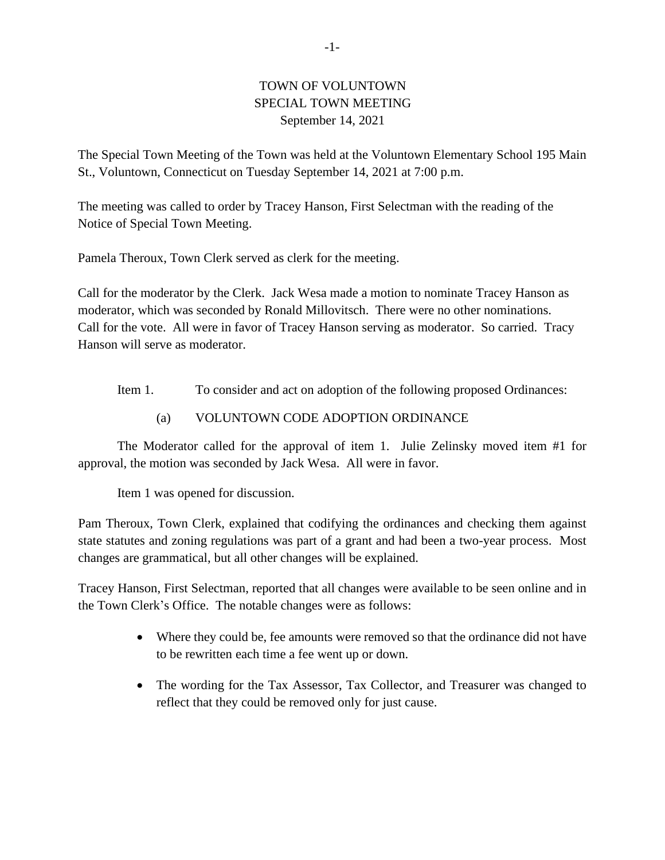## TOWN OF VOLUNTOWN SPECIAL TOWN MEETING September 14, 2021

The Special Town Meeting of the Town was held at the Voluntown Elementary School 195 Main St., Voluntown, Connecticut on Tuesday September 14, 2021 at 7:00 p.m.

The meeting was called to order by Tracey Hanson, First Selectman with the reading of the Notice of Special Town Meeting.

Pamela Theroux, Town Clerk served as clerk for the meeting.

Call for the moderator by the Clerk. Jack Wesa made a motion to nominate Tracey Hanson as moderator, which was seconded by Ronald Millovitsch. There were no other nominations. Call for the vote. All were in favor of Tracey Hanson serving as moderator. So carried. Tracy Hanson will serve as moderator.

Item 1. To consider and act on adoption of the following proposed Ordinances:

## (a) VOLUNTOWN CODE ADOPTION ORDINANCE

The Moderator called for the approval of item 1. Julie Zelinsky moved item #1 for approval, the motion was seconded by Jack Wesa. All were in favor.

Item 1 was opened for discussion.

Pam Theroux, Town Clerk, explained that codifying the ordinances and checking them against state statutes and zoning regulations was part of a grant and had been a two-year process. Most changes are grammatical, but all other changes will be explained.

Tracey Hanson, First Selectman, reported that all changes were available to be seen online and in the Town Clerk's Office. The notable changes were as follows:

- Where they could be, fee amounts were removed so that the ordinance did not have to be rewritten each time a fee went up or down.
- The wording for the Tax Assessor, Tax Collector, and Treasurer was changed to reflect that they could be removed only for just cause.